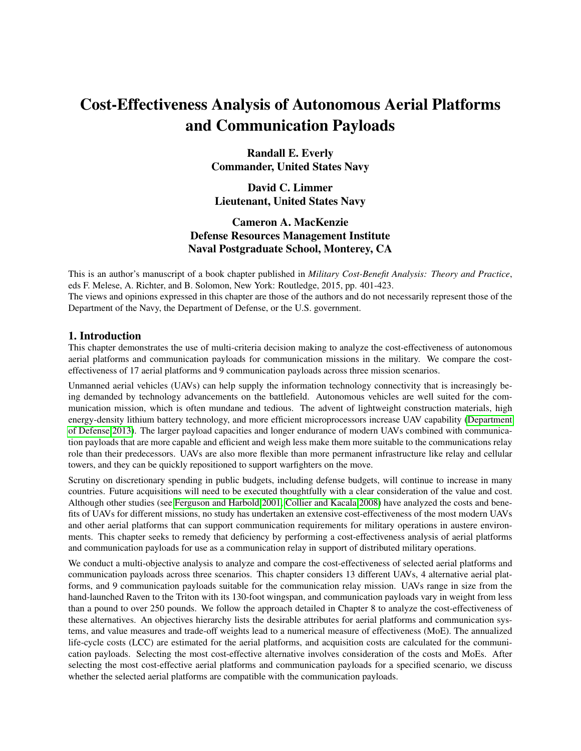# Cost-Effectiveness Analysis of Autonomous Aerial Platforms and Communication Payloads

Randall E. Everly Commander, United States Navy

David C. Limmer Lieutenant, United States Navy

# Cameron A. MacKenzie Defense Resources Management Institute Naval Postgraduate School, Monterey, CA

This is an author's manuscript of a book chapter published in *Military Cost-Benefit Analysis: Theory and Practice*, eds F. Melese, A. Richter, and B. Solomon, New York: Routledge, 2015, pp. 401-423. The views and opinions expressed in this chapter are those of the authors and do not necessarily represent those of the Department of the Navy, the Department of Defense, or the U.S. government.

# 1. Introduction

This chapter demonstrates the use of multi-criteria decision making to analyze the cost-effectiveness of autonomous aerial platforms and communication payloads for communication missions in the military. We compare the costeffectiveness of 17 aerial platforms and 9 communication payloads across three mission scenarios.

Unmanned aerial vehicles (UAVs) can help supply the information technology connectivity that is increasingly being demanded by technology advancements on the battlefield. Autonomous vehicles are well suited for the communication mission, which is often mundane and tedious. The advent of lightweight construction materials, high energy-density lithium battery technology, and more efficient microprocessors increase UAV capability [\(Department](#page-14-0) [of Defense 2013\)](#page-14-0). The larger payload capacities and longer endurance of modern UAVs combined with communication payloads that are more capable and efficient and weigh less make them more suitable to the communications relay role than their predecessors. UAVs are also more flexible than more permanent infrastructure like relay and cellular towers, and they can be quickly repositioned to support warfighters on the move.

Scrutiny on discretionary spending in public budgets, including defense budgets, will continue to increase in many countries. Future acquisitions will need to be executed thoughtfully with a clear consideration of the value and cost. Although other studies (see [Ferguson and Harbold 2001,](#page-15-0) [Collier and Kacala 2008\)](#page-14-1) have analyzed the costs and benefits of UAVs for different missions, no study has undertaken an extensive cost-effectiveness of the most modern UAVs and other aerial platforms that can support communication requirements for military operations in austere environments. This chapter seeks to remedy that deficiency by performing a cost-effectiveness analysis of aerial platforms and communication payloads for use as a communication relay in support of distributed military operations.

We conduct a multi-objective analysis to analyze and compare the cost-effectiveness of selected aerial platforms and communication payloads across three scenarios. This chapter considers 13 different UAVs, 4 alternative aerial platforms, and 9 communication payloads suitable for the communication relay mission. UAVs range in size from the hand-launched Raven to the Triton with its 130-foot wingspan, and communication payloads vary in weight from less than a pound to over 250 pounds. We follow the approach detailed in Chapter 8 to analyze the cost-effectiveness of these alternatives. An objectives hierarchy lists the desirable attributes for aerial platforms and communication systems, and value measures and trade-off weights lead to a numerical measure of effectiveness (MoE). The annualized life-cycle costs (LCC) are estimated for the aerial platforms, and acquisition costs are calculated for the communication payloads. Selecting the most cost-effective alternative involves consideration of the costs and MoEs. After selecting the most cost-effective aerial platforms and communication payloads for a specified scenario, we discuss whether the selected aerial platforms are compatible with the communication payloads.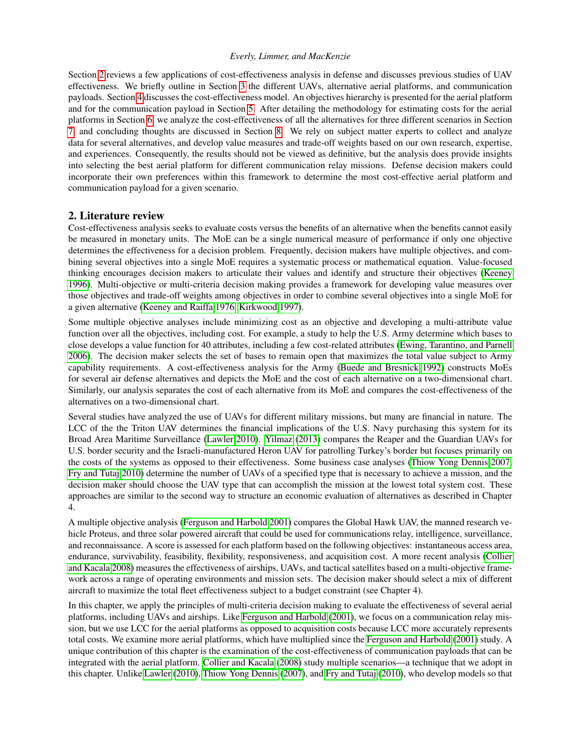Section [2](#page-1-0) reviews a few applications of cost-effectiveness analysis in defense and discusses previous studies of UAV effectiveness. We briefly outline in Section [3](#page-2-0) the different UAVs, alternative aerial platforms, and communication payloads. Section [4](#page-3-0) discusses the cost-effectiveness model. An objectives hierarchy is presented for the aerial platform and for the communication payload in Section [5.](#page-3-1) After detailing the methodology for estimating costs for the aerial platforms in Section [6,](#page-5-0) we analyze the cost-effectiveness of all the alternatives for three different scenarios in Section [7,](#page-6-0) and concluding thoughts are discussed in Section [8.](#page-13-0) We rely on subject matter experts to collect and analyze data for several alternatives, and develop value measures and trade-off weights based on our own research, expertise, and experiences. Consequently, the results should not be viewed as definitive, but the analysis does provide insights into selecting the best aerial platform for different communication relay missions. Defense decision makers could incorporate their own preferences within this framework to determine the most cost-effective aerial platform and communication payload for a given scenario.

#### <span id="page-1-0"></span>2. Literature review

Cost-effectiveness analysis seeks to evaluate costs versus the benefits of an alternative when the benefits cannot easily be measured in monetary units. The MoE can be a single numerical measure of performance if only one objective determines the effectiveness for a decision problem. Frequently, decision makers have multiple objectives, and combining several objectives into a single MoE requires a systematic process or mathematical equation. Value-focused thinking encourages decision makers to articulate their values and identify and structure their objectives [\(Keeney](#page-15-1) [1996\)](#page-15-1). Multi-objective or multi-criteria decision making provides a framework for developing value measures over those objectives and trade-off weights among objectives in order to combine several objectives into a single MoE for a given alternative [\(Keeney and Raiffa 1976,](#page-15-2) [Kirkwood 1997\)](#page-15-3).

Some multiple objective analyses include minimizing cost as an objective and developing a multi-attribute value function over all the objectives, including cost. For example, a study to help the U.S. Army determine which bases to close develops a value function for 40 attributes, including a few cost-related attributes [\(Ewing, Tarantino, and Parnell](#page-15-4) [2006\)](#page-15-4). The decision maker selects the set of bases to remain open that maximizes the total value subject to Army capability requirements. A cost-effectiveness analysis for the Army [\(Buede and Bresnick 1992\)](#page-14-2) constructs MoEs for several air defense alternatives and depicts the MoE and the cost of each alternative on a two-dimensional chart. Similarly, our analysis separates the cost of each alternative from its MoE and compares the cost-effectiveness of the alternatives on a two-dimensional chart.

Several studies have analyzed the use of UAVs for different military missions, but many are financial in nature. The LCC of the the Triton UAV determines the financial implications of the U.S. Navy purchasing this system for its Broad Area Maritime Surveillance [\(Lawler 2010\)](#page-15-5). [Yilmaz](#page-16-0) [\(2013\)](#page-16-0) compares the Reaper and the Guardian UAVs for U.S. border security and the Israeli-manufactured Heron UAV for patrolling Turkey's border but focuses primarily on the costs of the systems as opposed to their effectiveness. Some business case analyses [\(Thiow Yong Dennis 2007,](#page-16-1) [Fry and Tutaj 2010\)](#page-15-6) determine the number of UAVs of a specified type that is necessary to achieve a mission, and the decision maker should choose the UAV type that can accomplish the mission at the lowest total system cost. These approaches are similar to the second way to structure an economic evaluation of alternatives as described in Chapter 4.

A multiple objective analysis [\(Ferguson and Harbold 2001\)](#page-15-0) compares the Global Hawk UAV, the manned research vehicle Proteus, and three solar powered aircraft that could be used for communications relay, intelligence, surveillance, and reconnaissance. A score is assessed for each platform based on the following objectives: instantaneous access area, endurance, survivability, feasibility, flexibility, responsiveness, and acquisition cost. A more recent analysis [\(Collier](#page-14-1) [and Kacala 2008\)](#page-14-1) measures the effectiveness of airships, UAVs, and tactical satellites based on a multi-objective framework across a range of operating environments and mission sets. The decision maker should select a mix of different aircraft to maximize the total fleet effectiveness subject to a budget constraint (see Chapter 4).

In this chapter, we apply the principles of multi-criteria decision making to evaluate the effectiveness of several aerial platforms, including UAVs and airships. Like [Ferguson and Harbold](#page-15-0) [\(2001\)](#page-15-0), we focus on a communication relay mission, but we use LCC for the aerial platforms as opposed to acquisition costs because LCC more accurately represents total costs. We examine more aerial platforms, which have multiplied since the [Ferguson and Harbold](#page-15-0) [\(2001\)](#page-15-0) study. A unique contribution of this chapter is the examination of the cost-effectiveness of communication payloads that can be integrated with the aerial platform. [Collier and Kacala](#page-14-1) [\(2008\)](#page-14-1) study multiple scenarios—a technique that we adopt in this chapter. Unlike [Lawler](#page-15-5) [\(2010\)](#page-15-5), [Thiow Yong Dennis](#page-16-1) [\(2007\)](#page-16-1), and [Fry and Tutaj](#page-15-6) [\(2010\)](#page-15-6), who develop models so that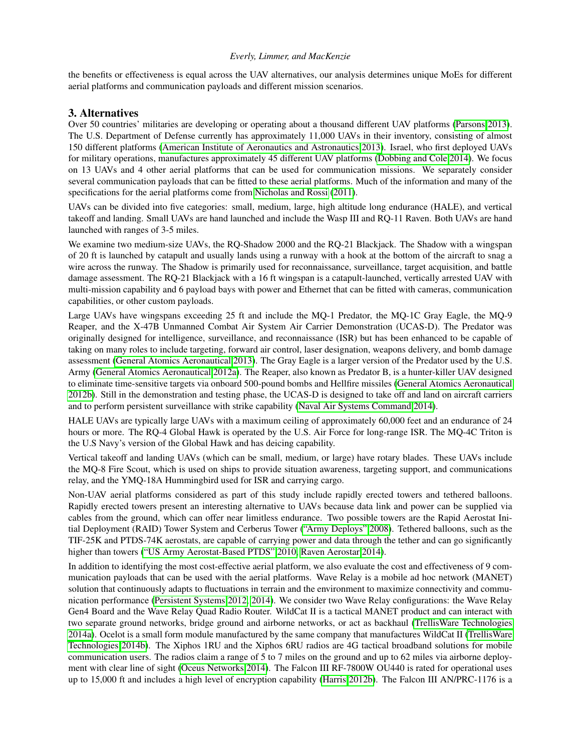the benefits or effectiveness is equal across the UAV alternatives, our analysis determines unique MoEs for different aerial platforms and communication payloads and different mission scenarios.

## <span id="page-2-0"></span>3. Alternatives

Over 50 countries' militaries are developing or operating about a thousand different UAV platforms [\(Parsons 2013\)](#page-16-2). The U.S. Department of Defense currently has approximately 11,000 UAVs in their inventory, consisting of almost 150 different platforms [\(American Institute of Aeronautics and Astronautics 2013\)](#page-14-3). Israel, who first deployed UAVs for military operations, manufactures approximately 45 different UAV platforms [\(Dobbing and Cole 2014\)](#page-15-7). We focus on 13 UAVs and 4 other aerial platforms that can be used for communication missions. We separately consider several communication payloads that can be fitted to these aerial platforms. Much of the information and many of the specifications for the aerial platforms come from [Nicholas and Rossi](#page-15-8) [\(2011\)](#page-15-8).

UAVs can be divided into five categories: small, medium, large, high altitude long endurance (HALE), and vertical takeoff and landing. Small UAVs are hand launched and include the Wasp III and RQ-11 Raven. Both UAVs are hand launched with ranges of 3-5 miles.

We examine two medium-size UAVs, the RQ-Shadow 2000 and the RQ-21 Blackjack. The Shadow with a wingspan of 20 ft is launched by catapult and usually lands using a runway with a hook at the bottom of the aircraft to snag a wire across the runway. The Shadow is primarily used for reconnaissance, surveillance, target acquisition, and battle damage assessment. The RQ-21 Blackjack with a 16 ft wingspan is a catapult-launched, vertically arrested UAV with multi-mission capability and 6 payload bays with power and Ethernet that can be fitted with cameras, communication capabilities, or other custom payloads.

Large UAVs have wingspans exceeding 25 ft and include the MQ-1 Predator, the MQ-1C Gray Eagle, the MQ-9 Reaper, and the X-47B Unmanned Combat Air System Air Carrier Demonstration (UCAS-D). The Predator was originally designed for intelligence, surveillance, and reconnaissance (ISR) but has been enhanced to be capable of taking on many roles to include targeting, forward air control, laser designation, weapons delivery, and bomb damage assessment [\(General Atomics Aeronautical 2013\)](#page-15-9). The Gray Eagle is a larger version of the Predator used by the U.S. Army [\(General Atomics Aeronautical 2012a\)](#page-15-10). The Reaper, also known as Predator B, is a hunter-killer UAV designed to eliminate time-sensitive targets via onboard 500-pound bombs and Hellfire missiles [\(General Atomics Aeronautical](#page-15-11) [2012b\)](#page-15-11). Still in the demonstration and testing phase, the UCAS-D is designed to take off and land on aircraft carriers and to perform persistent surveillance with strike capability [\(Naval Air Systems Command 2014\)](#page-15-12).

HALE UAVs are typically large UAVs with a maximum ceiling of approximately 60,000 feet and an endurance of 24 hours or more. The RQ-4 Global Hawk is operated by the U.S. Air Force for long-range ISR. The MQ-4C Triton is the U.S Navy's version of the Global Hawk and has deicing capability.

Vertical takeoff and landing UAVs (which can be small, medium, or large) have rotary blades. These UAVs include the MQ-8 Fire Scout, which is used on ships to provide situation awareness, targeting support, and communications relay, and the YMQ-18A Hummingbird used for ISR and carrying cargo.

Non-UAV aerial platforms considered as part of this study include rapidly erected towers and tethered balloons. Rapidly erected towers present an interesting alternative to UAVs because data link and power can be supplied via cables from the ground, which can offer near limitless endurance. Two possible towers are the Rapid Aerostat Initial Deployment (RAID) Tower System and Cerberus Tower [\("Army Deploys" 2008\)](#page-14-4). Tethered balloons, such as the TIF-25K and PTDS-74K aerostats, are capable of carrying power and data through the tether and can go significantly higher than towers [\("US Army Aerostat-Based PTDS" 2010,](#page-16-3) [Raven Aerostar 2014\)](#page-16-4).

In addition to identifying the most cost-effective aerial platform, we also evaluate the cost and effectiveness of 9 communication payloads that can be used with the aerial platforms. Wave Relay is a mobile ad hoc network (MANET) solution that continuously adapts to fluctuations in terrain and the environment to maximize connectivity and communication performance [\(Persistent Systems 2012,](#page-16-5) [2014\)](#page-16-6). We consider two Wave Relay configurations: the Wave Relay Gen4 Board and the Wave Relay Quad Radio Router. WildCat II is a tactical MANET product and can interact with two separate ground networks, bridge ground and airborne networks, or act as backhaul [\(TrellisWare Technologies](#page-16-7) [2014a\)](#page-16-7). Ocelot is a small form module manufactured by the same company that manufactures WildCat II [\(TrellisWare](#page-16-8) [Technologies 2014b\)](#page-16-8). The Xiphos 1RU and the Xiphos 6RU radios are 4G tactical broadband solutions for mobile communication users. The radios claim a range of 5 to 7 miles on the ground and up to 62 miles via airborne deployment with clear line of sight [\(Oceus Networks 2014\)](#page-15-13). The Falcon III RF-7800W OU440 is rated for operational uses up to 15,000 ft and includes a high level of encryption capability [\(Harris 2012b\)](#page-15-14). The Falcon III AN/PRC-1176 is a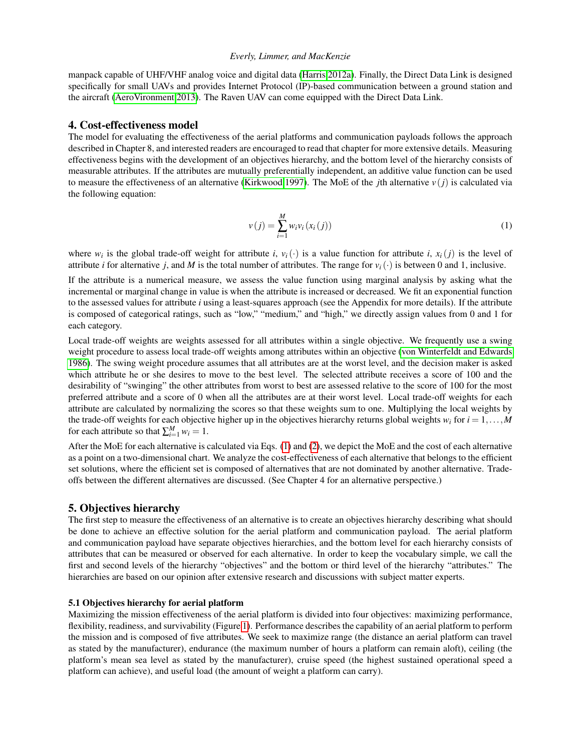manpack capable of UHF/VHF analog voice and digital data [\(Harris 2012a\)](#page-15-15). Finally, the Direct Data Link is designed specifically for small UAVs and provides Internet Protocol (IP)-based communication between a ground station and the aircraft [\(AeroVironment 2013\)](#page-14-5). The Raven UAV can come equipped with the Direct Data Link.

#### <span id="page-3-0"></span>4. Cost-effectiveness model

The model for evaluating the effectiveness of the aerial platforms and communication payloads follows the approach described in Chapter 8, and interested readers are encouraged to read that chapter for more extensive details. Measuring effectiveness begins with the development of an objectives hierarchy, and the bottom level of the hierarchy consists of measurable attributes. If the attributes are mutually preferentially independent, an additive value function can be used to measure the effectiveness of an alternative [\(Kirkwood 1997\)](#page-15-3). The MoE of the *j*th alternative  $v(i)$  is calculated via the following equation:

<span id="page-3-2"></span>
$$
v(j) = \sum_{i=1}^{M} w_i v_i (x_i(j))
$$
 (1)

where  $w_i$  is the global trade-off weight for attribute *i*,  $v_i(\cdot)$  is a value function for attribute *i*,  $x_i(j)$  is the level of attribute *i* for alternative *j*, and *M* is the total number of attributes. The range for  $v_i(\cdot)$  is between 0 and 1, inclusive.

If the attribute is a numerical measure, we assess the value function using marginal analysis by asking what the incremental or marginal change in value is when the attribute is increased or decreased. We fit an exponential function to the assessed values for attribute *i* using a least-squares approach (see the Appendix for more details). If the attribute is composed of categorical ratings, such as "low," "medium," and "high," we directly assign values from 0 and 1 for each category.

Local trade-off weights are weights assessed for all attributes within a single objective. We frequently use a swing weight procedure to assess local trade-off weights among attributes within an objective [\(von Winterfeldt and Edwards](#page-16-9) [1986\)](#page-16-9). The swing weight procedure assumes that all attributes are at the worst level, and the decision maker is asked which attribute he or she desires to move to the best level. The selected attribute receives a score of 100 and the desirability of "swinging" the other attributes from worst to best are assessed relative to the score of 100 for the most preferred attribute and a score of 0 when all the attributes are at their worst level. Local trade-off weights for each attribute are calculated by normalizing the scores so that these weights sum to one. Multiplying the local weights by the trade-off weights for each objective higher up in the objectives hierarchy returns global weights  $w_i$  for  $i = 1, \ldots, M$ for each attribute so that  $\sum_{i=1}^{M} w_i = 1$ .

After the MoE for each alternative is calculated via Eqs. [\(1\)](#page-3-2) and [\(2\)](#page-14-6), we depict the MoE and the cost of each alternative as a point on a two-dimensional chart. We analyze the cost-effectiveness of each alternative that belongs to the efficient set solutions, where the efficient set is composed of alternatives that are not dominated by another alternative. Tradeoffs between the different alternatives are discussed. (See Chapter 4 for an alternative perspective.)

# <span id="page-3-1"></span>5. Objectives hierarchy

The first step to measure the effectiveness of an alternative is to create an objectives hierarchy describing what should be done to achieve an effective solution for the aerial platform and communication payload. The aerial platform and communication payload have separate objectives hierarchies, and the bottom level for each hierarchy consists of attributes that can be measured or observed for each alternative. In order to keep the vocabulary simple, we call the first and second levels of the hierarchy "objectives" and the bottom or third level of the hierarchy "attributes." The hierarchies are based on our opinion after extensive research and discussions with subject matter experts.

#### 5.1 Objectives hierarchy for aerial platform

Maximizing the mission effectiveness of the aerial platform is divided into four objectives: maximizing performance, flexibility, readiness, and survivability (Figure [1\)](#page-4-0). Performance describes the capability of an aerial platform to perform the mission and is composed of five attributes. We seek to maximize range (the distance an aerial platform can travel as stated by the manufacturer), endurance (the maximum number of hours a platform can remain aloft), ceiling (the platform's mean sea level as stated by the manufacturer), cruise speed (the highest sustained operational speed a platform can achieve), and useful load (the amount of weight a platform can carry).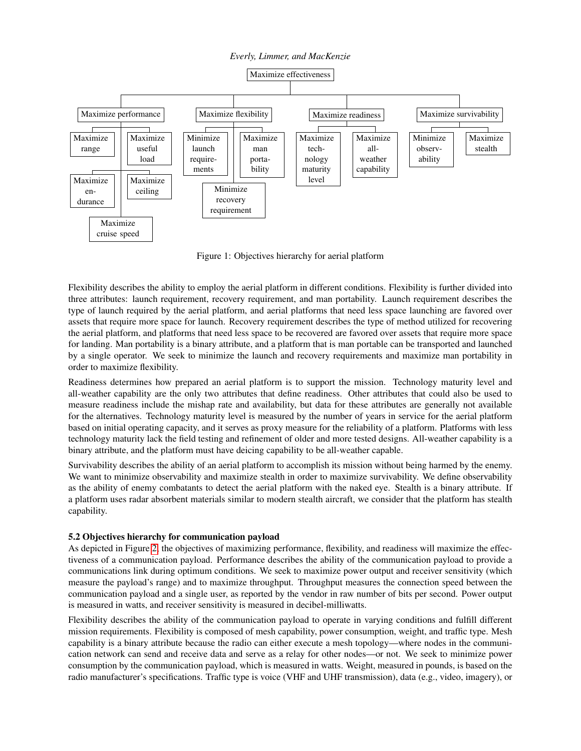<span id="page-4-0"></span>

Figure 1: Objectives hierarchy for aerial platform

Flexibility describes the ability to employ the aerial platform in different conditions. Flexibility is further divided into three attributes: launch requirement, recovery requirement, and man portability. Launch requirement describes the type of launch required by the aerial platform, and aerial platforms that need less space launching are favored over assets that require more space for launch. Recovery requirement describes the type of method utilized for recovering the aerial platform, and platforms that need less space to be recovered are favored over assets that require more space for landing. Man portability is a binary attribute, and a platform that is man portable can be transported and launched by a single operator. We seek to minimize the launch and recovery requirements and maximize man portability in order to maximize flexibility.

Readiness determines how prepared an aerial platform is to support the mission. Technology maturity level and all-weather capability are the only two attributes that define readiness. Other attributes that could also be used to measure readiness include the mishap rate and availability, but data for these attributes are generally not available for the alternatives. Technology maturity level is measured by the number of years in service for the aerial platform based on initial operating capacity, and it serves as proxy measure for the reliability of a platform. Platforms with less technology maturity lack the field testing and refinement of older and more tested designs. All-weather capability is a binary attribute, and the platform must have deicing capability to be all-weather capable.

Survivability describes the ability of an aerial platform to accomplish its mission without being harmed by the enemy. We want to minimize observability and maximize stealth in order to maximize survivability. We define observability as the ability of enemy combatants to detect the aerial platform with the naked eye. Stealth is a binary attribute. If a platform uses radar absorbent materials similar to modern stealth aircraft, we consider that the platform has stealth capability.

# 5.2 Objectives hierarchy for communication payload

As depicted in Figure [2,](#page-5-1) the objectives of maximizing performance, flexibility, and readiness will maximize the effectiveness of a communication payload. Performance describes the ability of the communication payload to provide a communications link during optimum conditions. We seek to maximize power output and receiver sensitivity (which measure the payload's range) and to maximize throughput. Throughput measures the connection speed between the communication payload and a single user, as reported by the vendor in raw number of bits per second. Power output is measured in watts, and receiver sensitivity is measured in decibel-milliwatts.

Flexibility describes the ability of the communication payload to operate in varying conditions and fulfill different mission requirements. Flexibility is composed of mesh capability, power consumption, weight, and traffic type. Mesh capability is a binary attribute because the radio can either execute a mesh topology—where nodes in the communication network can send and receive data and serve as a relay for other nodes—or not. We seek to minimize power consumption by the communication payload, which is measured in watts. Weight, measured in pounds, is based on the radio manufacturer's specifications. Traffic type is voice (VHF and UHF transmission), data (e.g., video, imagery), or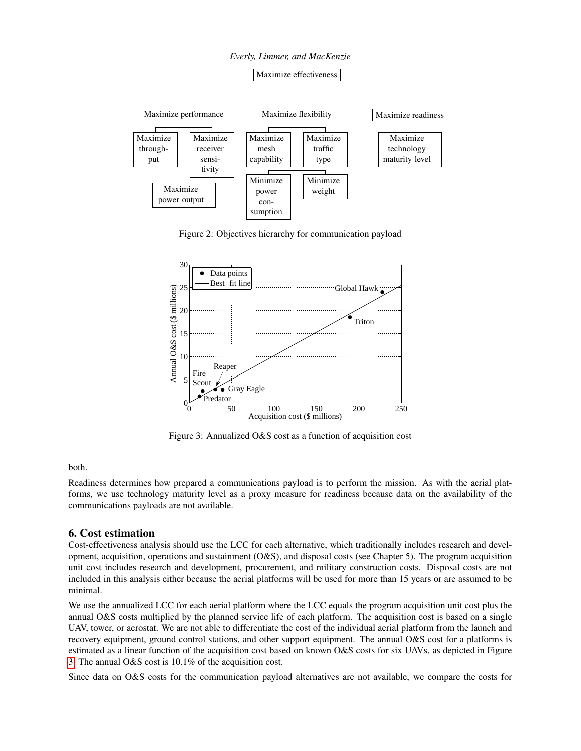<span id="page-5-1"></span>

Figure 2: Objectives hierarchy for communication payload

<span id="page-5-2"></span>

Figure 3: Annualized O&S cost as a function of acquisition cost

#### both.

Readiness determines how prepared a communications payload is to perform the mission. As with the aerial platforms, we use technology maturity level as a proxy measure for readiness because data on the availability of the communications payloads are not available.

#### <span id="page-5-0"></span>6. Cost estimation

Cost-effectiveness analysis should use the LCC for each alternative, which traditionally includes research and development, acquisition, operations and sustainment (O&S), and disposal costs (see Chapter 5). The program acquisition unit cost includes research and development, procurement, and military construction costs. Disposal costs are not included in this analysis either because the aerial platforms will be used for more than 15 years or are assumed to be minimal.

We use the annualized LCC for each aerial platform where the LCC equals the program acquisition unit cost plus the annual O&S costs multiplied by the planned service life of each platform. The acquisition cost is based on a single UAV, tower, or aerostat. We are not able to differentiate the cost of the individual aerial platform from the launch and recovery equipment, ground control stations, and other support equipment. The annual O&S cost for a platforms is estimated as a linear function of the acquisition cost based on known O&S costs for six UAVs, as depicted in Figure [3.](#page-5-2) The annual O&S cost is 10.1% of the acquisition cost.

Since data on O&S costs for the communication payload alternatives are not available, we compare the costs for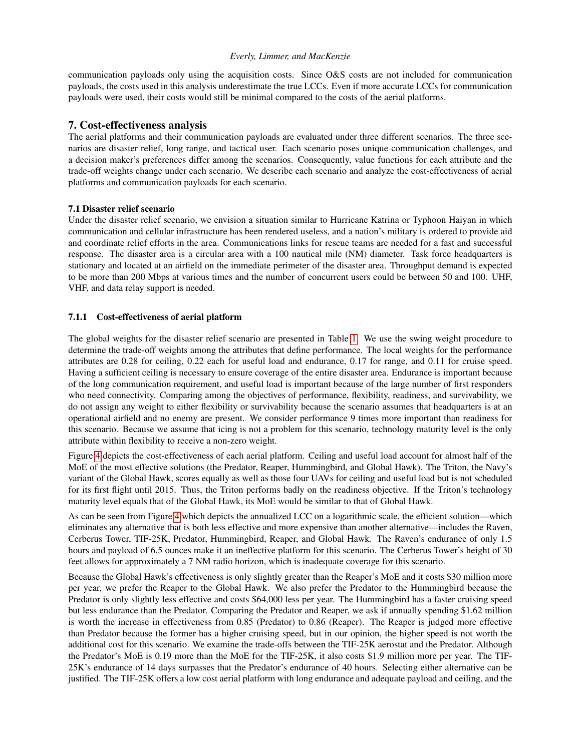communication payloads only using the acquisition costs. Since O&S costs are not included for communication payloads, the costs used in this analysis underestimate the true LCCs. Even if more accurate LCCs for communication payloads were used, their costs would still be minimal compared to the costs of the aerial platforms.

# <span id="page-6-0"></span>7. Cost-effectiveness analysis

The aerial platforms and their communication payloads are evaluated under three different scenarios. The three scenarios are disaster relief, long range, and tactical user. Each scenario poses unique communication challenges, and a decision maker's preferences differ among the scenarios. Consequently, value functions for each attribute and the trade-off weights change under each scenario. We describe each scenario and analyze the cost-effectiveness of aerial platforms and communication payloads for each scenario.

# 7.1 Disaster relief scenario

Under the disaster relief scenario, we envision a situation similar to Hurricane Katrina or Typhoon Haiyan in which communication and cellular infrastructure has been rendered useless, and a nation's military is ordered to provide aid and coordinate relief efforts in the area. Communications links for rescue teams are needed for a fast and successful response. The disaster area is a circular area with a 100 nautical mile (NM) diameter. Task force headquarters is stationary and located at an airfield on the immediate perimeter of the disaster area. Throughput demand is expected to be more than 200 Mbps at various times and the number of concurrent users could be between 50 and 100. UHF, VHF, and data relay support is needed.

## 7.1.1 Cost-effectiveness of aerial platform

The global weights for the disaster relief scenario are presented in Table [1.](#page-7-0) We use the swing weight procedure to determine the trade-off weights among the attributes that define performance. The local weights for the performance attributes are 0.28 for ceiling, 0.22 each for useful load and endurance, 0.17 for range, and 0.11 for cruise speed. Having a sufficient ceiling is necessary to ensure coverage of the entire disaster area. Endurance is important because of the long communication requirement, and useful load is important because of the large number of first responders who need connectivity. Comparing among the objectives of performance, flexibility, readiness, and survivability, we do not assign any weight to either flexibility or survivability because the scenario assumes that headquarters is at an operational airfield and no enemy are present. We consider performance 9 times more important than readiness for this scenario. Because we assume that icing is not a problem for this scenario, technology maturity level is the only attribute within flexibility to receive a non-zero weight.

Figure [4](#page-7-1) depicts the cost-effectiveness of each aerial platform. Ceiling and useful load account for almost half of the MoE of the most effective solutions (the Predator, Reaper, Hummingbird, and Global Hawk). The Triton, the Navy's variant of the Global Hawk, scores equally as well as those four UAVs for ceiling and useful load but is not scheduled for its first flight until 2015. Thus, the Triton performs badly on the readiness objective. If the Triton's technology maturity level equals that of the Global Hawk, its MoE would be similar to that of Global Hawk.

As can be seen from Figure [4](#page-7-1) which depicts the annualized LCC on a logarithmic scale, the efficient solution—which eliminates any alternative that is both less effective and more expensive than another alternative—includes the Raven, Cerberus Tower, TIF-25K, Predator, Hummingbird, Reaper, and Global Hawk. The Raven's endurance of only 1.5 hours and payload of 6.5 ounces make it an ineffective platform for this scenario. The Cerberus Tower's height of 30 feet allows for approximately a 7 NM radio horizon, which is inadequate coverage for this scenario.

Because the Global Hawk's effectiveness is only slightly greater than the Reaper's MoE and it costs \$30 million more per year, we prefer the Reaper to the Global Hawk. We also prefer the Predator to the Hummingbird because the Predator is only slightly less effective and costs \$64,000 less per year. The Hummingbird has a faster cruising speed but less endurance than the Predator. Comparing the Predator and Reaper, we ask if annually spending \$1.62 million is worth the increase in effectiveness from 0.85 (Predator) to 0.86 (Reaper). The Reaper is judged more effective than Predator because the former has a higher cruising speed, but in our opinion, the higher speed is not worth the additional cost for this scenario. We examine the trade-offs between the TIF-25K aerostat and the Predator. Although the Predator's MoE is 0.19 more than the MoE for the TIF-25K, it also costs \$1.9 million more per year. The TIF-25K's endurance of 14 days surpasses that the Predator's endurance of 40 hours. Selecting either alternative can be justified. The TIF-25K offers a low cost aerial platform with long endurance and adequate payload and ceiling, and the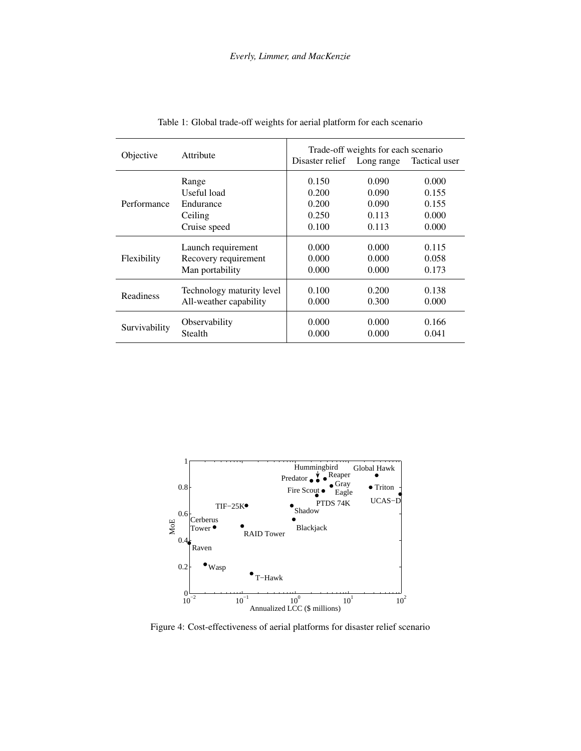<span id="page-7-0"></span>

| Objective     | Attribute                 | Trade-off weights for each scenario<br>Disaster relief Long range<br>Tactical user |       |       |
|---------------|---------------------------|------------------------------------------------------------------------------------|-------|-------|
| Performance   | Range                     | 0.150                                                                              | 0.090 | 0.000 |
|               | Useful load               | 0.200                                                                              | 0.090 | 0.155 |
|               | Endurance                 | 0.200                                                                              | 0.090 | 0.155 |
|               | Ceiling                   | 0.250                                                                              | 0.113 | 0.000 |
|               | Cruise speed              | 0.100                                                                              | 0.113 | 0.000 |
| Flexibility   | Launch requirement        | 0.000                                                                              | 0.000 | 0.115 |
|               | Recovery requirement      | 0.000                                                                              | 0.000 | 0.058 |
|               | Man portability           | 0.000                                                                              | 0.000 | 0.173 |
| Readiness     | Technology maturity level | 0.100                                                                              | 0.200 | 0.138 |
|               | All-weather capability    | 0.000                                                                              | 0.300 | 0.000 |
| Survivability | Observability             | 0.000                                                                              | 0.000 | 0.166 |
|               | Stealth                   | 0.000                                                                              | 0.000 | 0.041 |

Table 1: Global trade-off weights for aerial platform for each scenario

<span id="page-7-1"></span>

Figure 4: Cost-effectiveness of aerial platforms for disaster relief scenario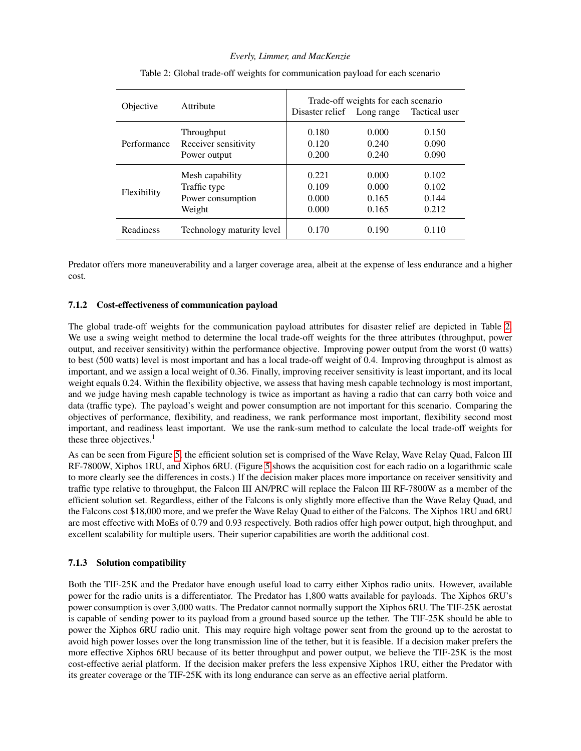<span id="page-8-0"></span>

| Objective   | Attribute                 | Disaster relief Long range | Trade-off weights for each scenario | Tactical user |
|-------------|---------------------------|----------------------------|-------------------------------------|---------------|
| Performance | Throughput                | 0.180                      | 0.000                               | 0.150         |
|             | Receiver sensitivity      | 0.120                      | 0.240                               | 0.090         |
|             | Power output              | 0.200                      | 0.240                               | 0.090         |
| Flexibility | Mesh capability           | 0.221                      | 0.000                               | 0.102         |
|             | Traffic type              | 0.109                      | 0.000                               | 0.102         |
|             | Power consumption         | 0.000                      | 0.165                               | 0.144         |
|             | Weight                    | 0.000                      | 0.165                               | 0.212         |
| Readiness   | Technology maturity level | 0.170                      | 0.190                               | 0.110         |

Table 2: Global trade-off weights for communication payload for each scenario

Predator offers more maneuverability and a larger coverage area, albeit at the expense of less endurance and a higher cost.

## 7.1.2 Cost-effectiveness of communication payload

The global trade-off weights for the communication payload attributes for disaster relief are depicted in Table [2.](#page-8-0) We use a swing weight method to determine the local trade-off weights for the three attributes (throughput, power output, and receiver sensitivity) within the performance objective. Improving power output from the worst (0 watts) to best (500 watts) level is most important and has a local trade-off weight of 0.4. Improving throughput is almost as important, and we assign a local weight of 0.36. Finally, improving receiver sensitivity is least important, and its local weight equals 0.24. Within the flexibility objective, we assess that having mesh capable technology is most important, and we judge having mesh capable technology is twice as important as having a radio that can carry both voice and data (traffic type). The payload's weight and power consumption are not important for this scenario. Comparing the objectives of performance, flexibility, and readiness, we rank performance most important, flexibility second most important, and readiness least important. We use the rank-sum method to calculate the local trade-off weights for these three objectives. $<sup>1</sup>$ </sup>

As can be seen from Figure [5,](#page-9-0) the efficient solution set is comprised of the Wave Relay, Wave Relay Quad, Falcon III RF-7800W, Xiphos 1RU, and Xiphos 6RU. (Figure [5](#page-9-0) shows the acquisition cost for each radio on a logarithmic scale to more clearly see the differences in costs.) If the decision maker places more importance on receiver sensitivity and traffic type relative to throughput, the Falcon III AN/PRC will replace the Falcon III RF-7800W as a member of the efficient solution set. Regardless, either of the Falcons is only slightly more effective than the Wave Relay Quad, and the Falcons cost \$18,000 more, and we prefer the Wave Relay Quad to either of the Falcons. The Xiphos 1RU and 6RU are most effective with MoEs of 0.79 and 0.93 respectively. Both radios offer high power output, high throughput, and excellent scalability for multiple users. Their superior capabilities are worth the additional cost.

#### 7.1.3 Solution compatibility

Both the TIF-25K and the Predator have enough useful load to carry either Xiphos radio units. However, available power for the radio units is a differentiator. The Predator has 1,800 watts available for payloads. The Xiphos 6RU's power consumption is over 3,000 watts. The Predator cannot normally support the Xiphos 6RU. The TIF-25K aerostat is capable of sending power to its payload from a ground based source up the tether. The TIF-25K should be able to power the Xiphos 6RU radio unit. This may require high voltage power sent from the ground up to the aerostat to avoid high power losses over the long transmission line of the tether, but it is feasible. If a decision maker prefers the more effective Xiphos 6RU because of its better throughput and power output, we believe the TIF-25K is the most cost-effective aerial platform. If the decision maker prefers the less expensive Xiphos 1RU, either the Predator with its greater coverage or the TIF-25K with its long endurance can serve as an effective aerial platform.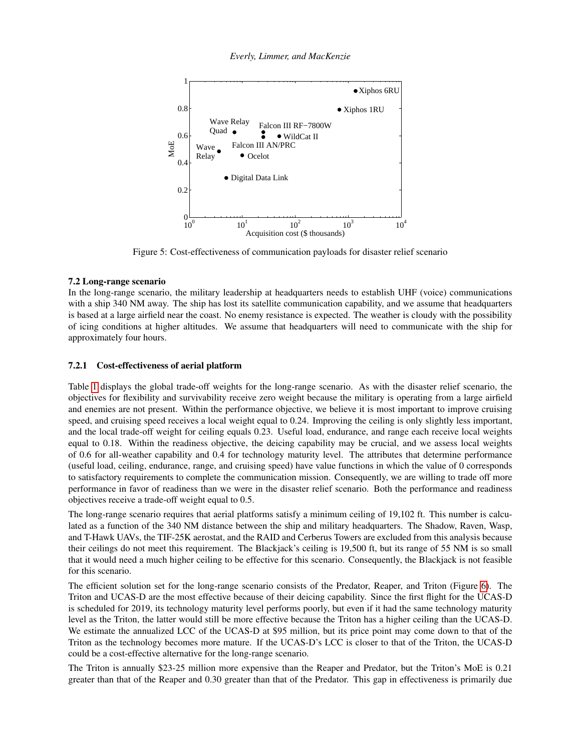*Everly, Limmer, and MacKenzie*

<span id="page-9-0"></span>

Figure 5: Cost-effectiveness of communication payloads for disaster relief scenario

#### 7.2 Long-range scenario

In the long-range scenario, the military leadership at headquarters needs to establish UHF (voice) communications with a ship 340 NM away. The ship has lost its satellite communication capability, and we assume that headquarters is based at a large airfield near the coast. No enemy resistance is expected. The weather is cloudy with the possibility of icing conditions at higher altitudes. We assume that headquarters will need to communicate with the ship for approximately four hours.

# 7.2.1 Cost-effectiveness of aerial platform

Table [1](#page-7-0) displays the global trade-off weights for the long-range scenario. As with the disaster relief scenario, the objectives for flexibility and survivability receive zero weight because the military is operating from a large airfield and enemies are not present. Within the performance objective, we believe it is most important to improve cruising speed, and cruising speed receives a local weight equal to 0.24. Improving the ceiling is only slightly less important, and the local trade-off weight for ceiling equals 0.23. Useful load, endurance, and range each receive local weights equal to 0.18. Within the readiness objective, the deicing capability may be crucial, and we assess local weights of 0.6 for all-weather capability and 0.4 for technology maturity level. The attributes that determine performance (useful load, ceiling, endurance, range, and cruising speed) have value functions in which the value of 0 corresponds to satisfactory requirements to complete the communication mission. Consequently, we are willing to trade off more performance in favor of readiness than we were in the disaster relief scenario. Both the performance and readiness objectives receive a trade-off weight equal to 0.5.

The long-range scenario requires that aerial platforms satisfy a minimum ceiling of 19,102 ft. This number is calculated as a function of the 340 NM distance between the ship and military headquarters. The Shadow, Raven, Wasp, and T-Hawk UAVs, the TIF-25K aerostat, and the RAID and Cerberus Towers are excluded from this analysis because their ceilings do not meet this requirement. The Blackjack's ceiling is 19,500 ft, but its range of 55 NM is so small that it would need a much higher ceiling to be effective for this scenario. Consequently, the Blackjack is not feasible for this scenario.

The efficient solution set for the long-range scenario consists of the Predator, Reaper, and Triton (Figure [6\)](#page-10-0). The Triton and UCAS-D are the most effective because of their deicing capability. Since the first flight for the UCAS-D is scheduled for 2019, its technology maturity level performs poorly, but even if it had the same technology maturity level as the Triton, the latter would still be more effective because the Triton has a higher ceiling than the UCAS-D. We estimate the annualized LCC of the UCAS-D at \$95 million, but its price point may come down to that of the Triton as the technology becomes more mature. If the UCAS-D's LCC is closer to that of the Triton, the UCAS-D could be a cost-effective alternative for the long-range scenario.

The Triton is annually \$23-25 million more expensive than the Reaper and Predator, but the Triton's MoE is 0.21 greater than that of the Reaper and 0.30 greater than that of the Predator. This gap in effectiveness is primarily due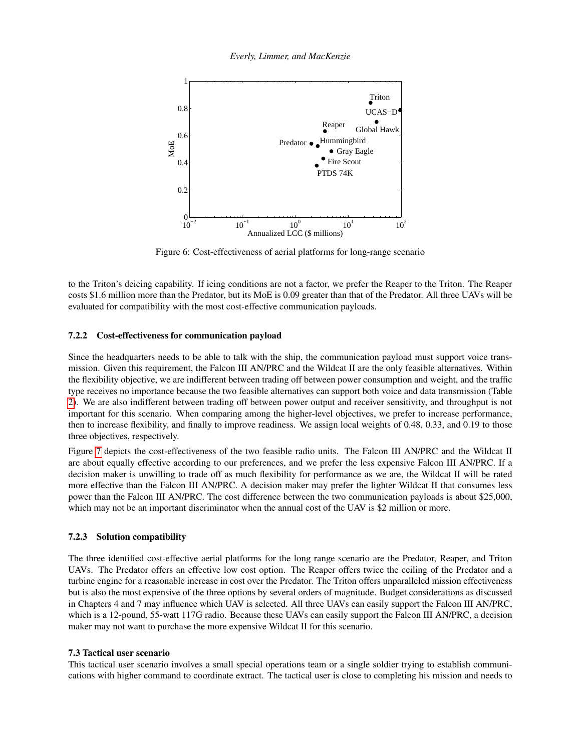*Everly, Limmer, and MacKenzie*

<span id="page-10-0"></span>

Figure 6: Cost-effectiveness of aerial platforms for long-range scenario

to the Triton's deicing capability. If icing conditions are not a factor, we prefer the Reaper to the Triton. The Reaper costs \$1.6 million more than the Predator, but its MoE is 0.09 greater than that of the Predator. All three UAVs will be evaluated for compatibility with the most cost-effective communication payloads.

#### 7.2.2 Cost-effectiveness for communication payload

Since the headquarters needs to be able to talk with the ship, the communication payload must support voice transmission. Given this requirement, the Falcon III AN/PRC and the Wildcat II are the only feasible alternatives. Within the flexibility objective, we are indifferent between trading off between power consumption and weight, and the traffic type receives no importance because the two feasible alternatives can support both voice and data transmission (Table [2\)](#page-8-0). We are also indifferent between trading off between power output and receiver sensitivity, and throughput is not important for this scenario. When comparing among the higher-level objectives, we prefer to increase performance, then to increase flexibility, and finally to improve readiness. We assign local weights of 0.48, 0.33, and 0.19 to those three objectives, respectively.

Figure [7](#page-11-0) depicts the cost-effectiveness of the two feasible radio units. The Falcon III AN/PRC and the Wildcat II are about equally effective according to our preferences, and we prefer the less expensive Falcon III AN/PRC. If a decision maker is unwilling to trade off as much flexibility for performance as we are, the Wildcat II will be rated more effective than the Falcon III AN/PRC. A decision maker may prefer the lighter Wildcat II that consumes less power than the Falcon III AN/PRC. The cost difference between the two communication payloads is about \$25,000, which may not be an important discriminator when the annual cost of the UAV is \$2 million or more.

#### 7.2.3 Solution compatibility

The three identified cost-effective aerial platforms for the long range scenario are the Predator, Reaper, and Triton UAVs. The Predator offers an effective low cost option. The Reaper offers twice the ceiling of the Predator and a turbine engine for a reasonable increase in cost over the Predator. The Triton offers unparalleled mission effectiveness but is also the most expensive of the three options by several orders of magnitude. Budget considerations as discussed in Chapters 4 and 7 may influence which UAV is selected. All three UAVs can easily support the Falcon III AN/PRC, which is a 12-pound, 55-watt 117G radio. Because these UAVs can easily support the Falcon III AN/PRC, a decision maker may not want to purchase the more expensive Wildcat II for this scenario.

#### 7.3 Tactical user scenario

This tactical user scenario involves a small special operations team or a single soldier trying to establish communications with higher command to coordinate extract. The tactical user is close to completing his mission and needs to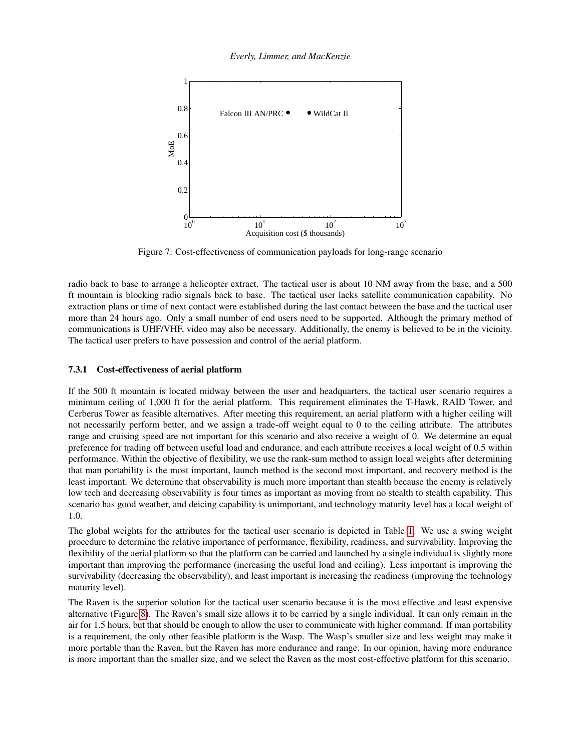<span id="page-11-0"></span>

Figure 7: Cost-effectiveness of communication payloads for long-range scenario

radio back to base to arrange a helicopter extract. The tactical user is about 10 NM away from the base, and a 500 ft mountain is blocking radio signals back to base. The tactical user lacks satellite communication capability. No extraction plans or time of next contact were established during the last contact between the base and the tactical user more than 24 hours ago. Only a small number of end users need to be supported. Although the primary method of communications is UHF/VHF, video may also be necessary. Additionally, the enemy is believed to be in the vicinity. The tactical user prefers to have possession and control of the aerial platform.

#### 7.3.1 Cost-effectiveness of aerial platform

If the 500 ft mountain is located midway between the user and headquarters, the tactical user scenario requires a minimum ceiling of 1,000 ft for the aerial platform. This requirement eliminates the T-Hawk, RAID Tower, and Cerberus Tower as feasible alternatives. After meeting this requirement, an aerial platform with a higher ceiling will not necessarily perform better, and we assign a trade-off weight equal to 0 to the ceiling attribute. The attributes range and cruising speed are not important for this scenario and also receive a weight of 0. We determine an equal preference for trading off between useful load and endurance, and each attribute receives a local weight of 0.5 within performance. Within the objective of flexibility, we use the rank-sum method to assign local weights after determining that man portability is the most important, launch method is the second most important, and recovery method is the least important. We determine that observability is much more important than stealth because the enemy is relatively low tech and decreasing observability is four times as important as moving from no stealth to stealth capability. This scenario has good weather, and deicing capability is unimportant, and technology maturity level has a local weight of 1.0.

The global weights for the attributes for the tactical user scenario is depicted in Table [1.](#page-7-0) We use a swing weight procedure to determine the relative importance of performance, flexibility, readiness, and survivability. Improving the flexibility of the aerial platform so that the platform can be carried and launched by a single individual is slightly more important than improving the performance (increasing the useful load and ceiling). Less important is improving the survivability (decreasing the observability), and least important is increasing the readiness (improving the technology maturity level).

The Raven is the superior solution for the tactical user scenario because it is the most effective and least expensive alternative (Figure [8\)](#page-12-0). The Raven's small size allows it to be carried by a single individual. It can only remain in the air for 1.5 hours, but that should be enough to allow the user to communicate with higher command. If man portability is a requirement, the only other feasible platform is the Wasp. The Wasp's smaller size and less weight may make it more portable than the Raven, but the Raven has more endurance and range. In our opinion, having more endurance is more important than the smaller size, and we select the Raven as the most cost-effective platform for this scenario.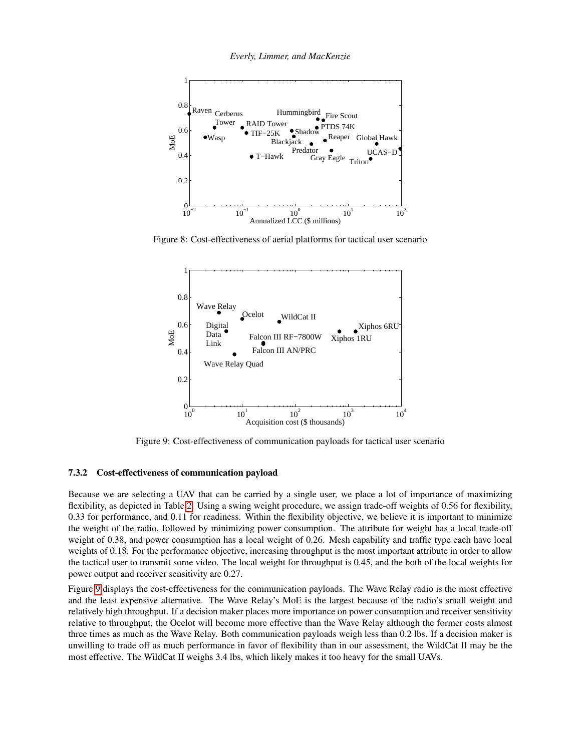<span id="page-12-0"></span>

<span id="page-12-1"></span>Figure 8: Cost-effectiveness of aerial platforms for tactical user scenario



Figure 9: Cost-effectiveness of communication payloads for tactical user scenario

#### 7.3.2 Cost-effectiveness of communication payload

Because we are selecting a UAV that can be carried by a single user, we place a lot of importance of maximizing flexibility, as depicted in Table [2.](#page-8-0) Using a swing weight procedure, we assign trade-off weights of 0.56 for flexibility, 0.33 for performance, and 0.11 for readiness. Within the flexibility objective, we believe it is important to minimize the weight of the radio, followed by minimizing power consumption. The attribute for weight has a local trade-off weight of 0.38, and power consumption has a local weight of 0.26. Mesh capability and traffic type each have local weights of 0.18. For the performance objective, increasing throughput is the most important attribute in order to allow the tactical user to transmit some video. The local weight for throughput is 0.45, and the both of the local weights for power output and receiver sensitivity are 0.27.

Figure [9](#page-12-1) displays the cost-effectiveness for the communication payloads. The Wave Relay radio is the most effective and the least expensive alternative. The Wave Relay's MoE is the largest because of the radio's small weight and relatively high throughput. If a decision maker places more importance on power consumption and receiver sensitivity relative to throughput, the Ocelot will become more effective than the Wave Relay although the former costs almost three times as much as the Wave Relay. Both communication payloads weigh less than 0.2 lbs. If a decision maker is unwilling to trade off as much performance in favor of flexibility than in our assessment, the WildCat II may be the most effective. The WildCat II weighs 3.4 lbs, which likely makes it too heavy for the small UAVs.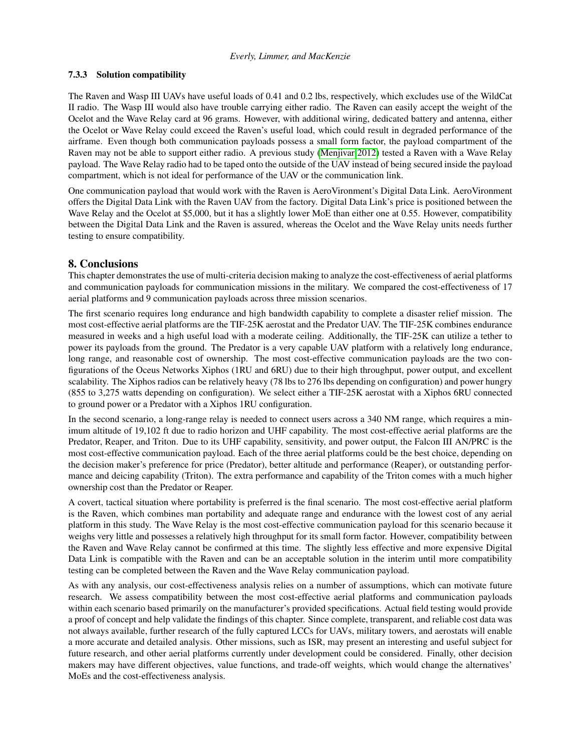## 7.3.3 Solution compatibility

The Raven and Wasp III UAVs have useful loads of 0.41 and 0.2 lbs, respectively, which excludes use of the WildCat II radio. The Wasp III would also have trouble carrying either radio. The Raven can easily accept the weight of the Ocelot and the Wave Relay card at 96 grams. However, with additional wiring, dedicated battery and antenna, either the Ocelot or Wave Relay could exceed the Raven's useful load, which could result in degraded performance of the airframe. Even though both communication payloads possess a small form factor, the payload compartment of the Raven may not be able to support either radio. A previous study [\(Menjivar 2012\)](#page-15-16) tested a Raven with a Wave Relay payload. The Wave Relay radio had to be taped onto the outside of the UAV instead of being secured inside the payload compartment, which is not ideal for performance of the UAV or the communication link.

One communication payload that would work with the Raven is AeroVironment's Digital Data Link. AeroVironment offers the Digital Data Link with the Raven UAV from the factory. Digital Data Link's price is positioned between the Wave Relay and the Ocelot at \$5,000, but it has a slightly lower MoE than either one at 0.55. However, compatibility between the Digital Data Link and the Raven is assured, whereas the Ocelot and the Wave Relay units needs further testing to ensure compatibility.

# <span id="page-13-0"></span>8. Conclusions

This chapter demonstrates the use of multi-criteria decision making to analyze the cost-effectiveness of aerial platforms and communication payloads for communication missions in the military. We compared the cost-effectiveness of 17 aerial platforms and 9 communication payloads across three mission scenarios.

The first scenario requires long endurance and high bandwidth capability to complete a disaster relief mission. The most cost-effective aerial platforms are the TIF-25K aerostat and the Predator UAV. The TIF-25K combines endurance measured in weeks and a high useful load with a moderate ceiling. Additionally, the TIF-25K can utilize a tether to power its payloads from the ground. The Predator is a very capable UAV platform with a relatively long endurance, long range, and reasonable cost of ownership. The most cost-effective communication payloads are the two configurations of the Oceus Networks Xiphos (1RU and 6RU) due to their high throughput, power output, and excellent scalability. The Xiphos radios can be relatively heavy (78 lbs to 276 lbs depending on configuration) and power hungry (855 to 3,275 watts depending on configuration). We select either a TIF-25K aerostat with a Xiphos 6RU connected to ground power or a Predator with a Xiphos 1RU configuration.

In the second scenario, a long-range relay is needed to connect users across a 340 NM range, which requires a minimum altitude of 19,102 ft due to radio horizon and UHF capability. The most cost-effective aerial platforms are the Predator, Reaper, and Triton. Due to its UHF capability, sensitivity, and power output, the Falcon III AN/PRC is the most cost-effective communication payload. Each of the three aerial platforms could be the best choice, depending on the decision maker's preference for price (Predator), better altitude and performance (Reaper), or outstanding performance and deicing capability (Triton). The extra performance and capability of the Triton comes with a much higher ownership cost than the Predator or Reaper.

A covert, tactical situation where portability is preferred is the final scenario. The most cost-effective aerial platform is the Raven, which combines man portability and adequate range and endurance with the lowest cost of any aerial platform in this study. The Wave Relay is the most cost-effective communication payload for this scenario because it weighs very little and possesses a relatively high throughput for its small form factor. However, compatibility between the Raven and Wave Relay cannot be confirmed at this time. The slightly less effective and more expensive Digital Data Link is compatible with the Raven and can be an acceptable solution in the interim until more compatibility testing can be completed between the Raven and the Wave Relay communication payload.

As with any analysis, our cost-effectiveness analysis relies on a number of assumptions, which can motivate future research. We assess compatibility between the most cost-effective aerial platforms and communication payloads within each scenario based primarily on the manufacturer's provided specifications. Actual field testing would provide a proof of concept and help validate the findings of this chapter. Since complete, transparent, and reliable cost data was not always available, further research of the fully captured LCCs for UAVs, military towers, and aerostats will enable a more accurate and detailed analysis. Other missions, such as ISR, may present an interesting and useful subject for future research, and other aerial platforms currently under development could be considered. Finally, other decision makers may have different objectives, value functions, and trade-off weights, which would change the alternatives' MoEs and the cost-effectiveness analysis.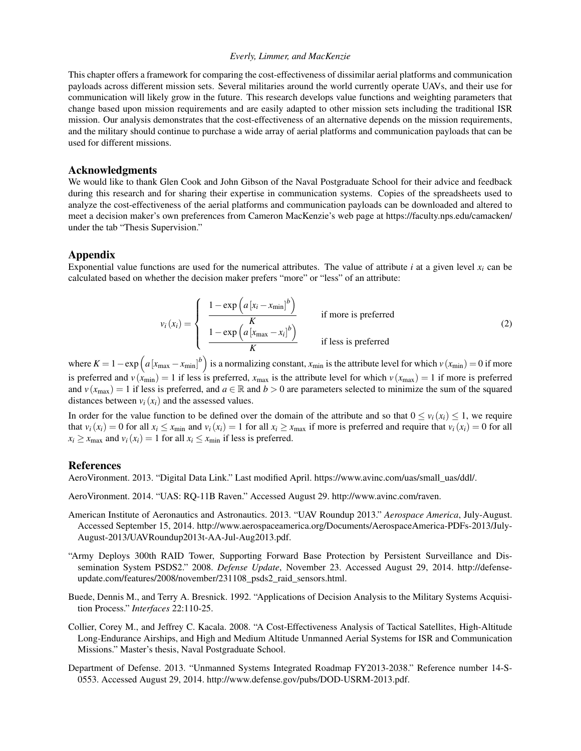This chapter offers a framework for comparing the cost-effectiveness of dissimilar aerial platforms and communication payloads across different mission sets. Several militaries around the world currently operate UAVs, and their use for communication will likely grow in the future. This research develops value functions and weighting parameters that change based upon mission requirements and are easily adapted to other mission sets including the traditional ISR mission. Our analysis demonstrates that the cost-effectiveness of an alternative depends on the mission requirements, and the military should continue to purchase a wide array of aerial platforms and communication payloads that can be used for different missions.

## Acknowledgments

We would like to thank Glen Cook and John Gibson of the Naval Postgraduate School for their advice and feedback during this research and for sharing their expertise in communication systems. Copies of the spreadsheets used to analyze the cost-effectiveness of the aerial platforms and communication payloads can be downloaded and altered to meet a decision maker's own preferences from Cameron MacKenzie's web page at https://faculty.nps.edu/camacken/ under the tab "Thesis Supervision."

## Appendix

Exponential value functions are used for the numerical attributes. The value of attribute  $i$  at a given level  $x_i$  can be calculated based on whether the decision maker prefers "more" or "less" of an attribute:

<span id="page-14-6"></span>
$$
v_i(x_i) = \begin{cases} \frac{1 - \exp\left(a\left[x_i - x_{\min}\right]^b\right)}{K} & \text{if more is preferred} \\ \frac{1 - \exp\left(a\left[x_{\max} - x_i\right]^b\right)}{K} & \text{if less is preferred} \end{cases}
$$
 (2)

where  $K = 1 - \exp\left(a\left[x_{\text{max}} - x_{\text{min}}\right]^b\right)$  is a normalizing constant,  $x_{\text{min}}$  is the attribute level for which  $v\left(x_{\text{min}}\right) = 0$  if more is preferred and  $v(x_{min}) = 1$  if less is preferred,  $x_{max}$  is the attribute level for which  $v(x_{max}) = 1$  if more is preferred and  $v(x_{\text{max}}) = 1$  if less is preferred, and  $a \in \mathbb{R}$  and  $b > 0$  are parameters selected to minimize the sum of the squared distances between  $v_i(x_i)$  and the assessed values.

In order for the value function to be defined over the domain of the attribute and so that  $0 \le v_i(x_i) \le 1$ , we require that  $v_i(x_i) = 0$  for all  $x_i \le x_{\min}$  and  $v_i(x_i) = 1$  for all  $x_i \ge x_{\max}$  if more is preferred and require that  $v_i(x_i) = 0$  for all  $x_i \geq x_{\text{max}}$  and  $v_i(x_i) = 1$  for all  $x_i \leq x_{\text{min}}$  if less is preferred.

#### **References**

<span id="page-14-5"></span>AeroVironment. 2013. "Digital Data Link." Last modified April. https://www.avinc.com/uas/small\_uas/ddl/.

AeroVironment. 2014. "UAS: RQ-11B Raven." Accessed August 29. http://www.avinc.com/raven.

- <span id="page-14-3"></span>American Institute of Aeronautics and Astronautics. 2013. "UAV Roundup 2013." *Aerospace America*, July-August. Accessed September 15, 2014. http://www.aerospaceamerica.org/Documents/AerospaceAmerica-PDFs-2013/July-August-2013/UAVRoundup2013t-AA-Jul-Aug2013.pdf.
- <span id="page-14-4"></span>"Army Deploys 300th RAID Tower, Supporting Forward Base Protection by Persistent Surveillance and Dissemination System PSDS2." 2008. *Defense Update*, November 23. Accessed August 29, 2014. http://defenseupdate.com/features/2008/november/231108\_psds2\_raid\_sensors.html.
- <span id="page-14-2"></span>Buede, Dennis M., and Terry A. Bresnick. 1992. "Applications of Decision Analysis to the Military Systems Acquisition Process." *Interfaces* 22:110-25.
- <span id="page-14-1"></span>Collier, Corey M., and Jeffrey C. Kacala. 2008. "A Cost-Effectiveness Analysis of Tactical Satellites, High-Altitude Long-Endurance Airships, and High and Medium Altitude Unmanned Aerial Systems for ISR and Communication Missions." Master's thesis, Naval Postgraduate School.
- <span id="page-14-0"></span>Department of Defense. 2013. "Unmanned Systems Integrated Roadmap FY2013-2038." Reference number 14-S-0553. Accessed August 29, 2014. http://www.defense.gov/pubs/DOD-USRM-2013.pdf.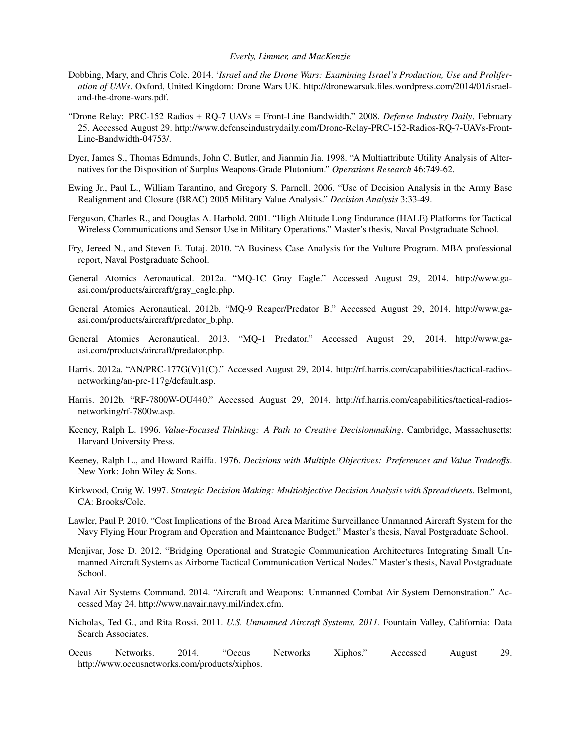- <span id="page-15-7"></span>Dobbing, Mary, and Chris Cole. 2014. '*Israel and the Drone Wars: Examining Israel's Production, Use and Proliferation of UAVs*. Oxford, United Kingdom: Drone Wars UK. http://dronewarsuk.files.wordpress.com/2014/01/israeland-the-drone-wars.pdf.
- "Drone Relay: PRC-152 Radios + RQ-7 UAVs = Front-Line Bandwidth." 2008. *Defense Industry Daily*, February 25. Accessed August 29. http://www.defenseindustrydaily.com/Drone-Relay-PRC-152-Radios-RQ-7-UAVs-Front-Line-Bandwidth-04753/.
- Dyer, James S., Thomas Edmunds, John C. Butler, and Jianmin Jia. 1998. "A Multiattribute Utility Analysis of Alternatives for the Disposition of Surplus Weapons-Grade Plutonium." *Operations Research* 46:749-62.
- <span id="page-15-4"></span>Ewing Jr., Paul L., William Tarantino, and Gregory S. Parnell. 2006. "Use of Decision Analysis in the Army Base Realignment and Closure (BRAC) 2005 Military Value Analysis." *Decision Analysis* 3:33-49.
- <span id="page-15-0"></span>Ferguson, Charles R., and Douglas A. Harbold. 2001. "High Altitude Long Endurance (HALE) Platforms for Tactical Wireless Communications and Sensor Use in Military Operations." Master's thesis, Naval Postgraduate School.
- <span id="page-15-6"></span>Fry, Jereed N., and Steven E. Tutaj. 2010. "A Business Case Analysis for the Vulture Program. MBA professional report, Naval Postgraduate School.
- <span id="page-15-10"></span>General Atomics Aeronautical. 2012a. "MQ-1C Gray Eagle." Accessed August 29, 2014. http://www.gaasi.com/products/aircraft/gray\_eagle.php.
- <span id="page-15-11"></span>General Atomics Aeronautical. 2012b. "MQ-9 Reaper/Predator B." Accessed August 29, 2014. http://www.gaasi.com/products/aircraft/predator\_b.php.
- <span id="page-15-9"></span>General Atomics Aeronautical. 2013. "MQ-1 Predator." Accessed August 29, 2014. http://www.gaasi.com/products/aircraft/predator.php.
- <span id="page-15-15"></span>Harris. 2012a. "AN/PRC-177G(V)1(C)." Accessed August 29, 2014. http://rf.harris.com/capabilities/tactical-radiosnetworking/an-prc-117g/default.asp.
- <span id="page-15-14"></span>Harris. 2012b. "RF-7800W-OU440." Accessed August 29, 2014. http://rf.harris.com/capabilities/tactical-radiosnetworking/rf-7800w.asp.
- <span id="page-15-1"></span>Keeney, Ralph L. 1996. *Value-Focused Thinking: A Path to Creative Decisionmaking*. Cambridge, Massachusetts: Harvard University Press.
- <span id="page-15-2"></span>Keeney, Ralph L., and Howard Raiffa. 1976. *Decisions with Multiple Objectives: Preferences and Value Tradeoffs*. New York: John Wiley & Sons.
- <span id="page-15-3"></span>Kirkwood, Craig W. 1997. *Strategic Decision Making: Multiobjective Decision Analysis with Spreadsheets*. Belmont, CA: Brooks/Cole.
- <span id="page-15-5"></span>Lawler, Paul P. 2010. "Cost Implications of the Broad Area Maritime Surveillance Unmanned Aircraft System for the Navy Flying Hour Program and Operation and Maintenance Budget." Master's thesis, Naval Postgraduate School.
- <span id="page-15-16"></span>Menjivar, Jose D. 2012. "Bridging Operational and Strategic Communication Architectures Integrating Small Unmanned Aircraft Systems as Airborne Tactical Communication Vertical Nodes." Master's thesis, Naval Postgraduate School.
- <span id="page-15-12"></span>Naval Air Systems Command. 2014. "Aircraft and Weapons: Unmanned Combat Air System Demonstration." Accessed May 24. http://www.navair.navy.mil/index.cfm.
- <span id="page-15-8"></span>Nicholas, Ted G., and Rita Rossi. 2011. *U.S. Unmanned Aircraft Systems, 2011*. Fountain Valley, California: Data Search Associates.
- <span id="page-15-13"></span>Oceus Networks. 2014. "Oceus Networks Xiphos." Accessed August 29. http://www.oceusnetworks.com/products/xiphos.